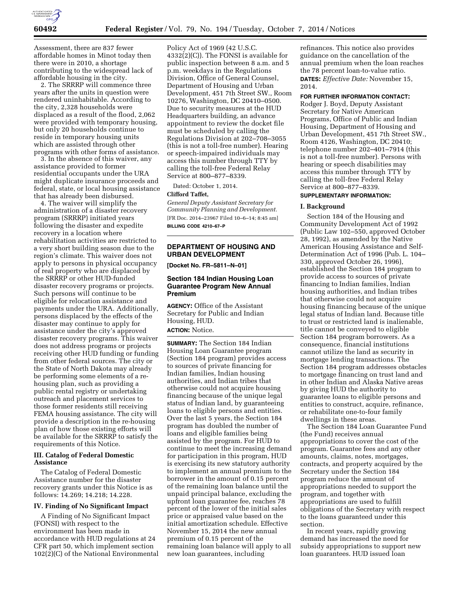

Assessment, there are 837 fewer affordable homes in Minot today then there were in 2010, a shortage contributing to the widespread lack of affordable housing in the city.

2. The SRRRP will commence three years after the units in question were rendered uninhabitable. According to the city, 2,328 households were displaced as a result of the flood, 2,062 were provided with temporary housing, but only 20 households continue to reside in temporary housing units which are assisted through other programs with other forms of assistance.

3. In the absence of this waiver, any assistance provided to former residential occupants under the URA might duplicate insurance proceeds and federal, state, or local housing assistance that has already been disbursed.

4. The waiver will simplify the administration of a disaster recovery program (SRRRP) initiated years following the disaster and expedite recovery in a location where rehabilitation activities are restricted to a very short building season due to the region's climate. This waiver does not apply to persons in physical occupancy of real property who are displaced by the SRRRP or other HUD-funded disaster recovery programs or projects. Such persons will continue to be eligible for relocation assistance and payments under the URA. Additionally, persons displaced by the effects of the disaster may continue to apply for assistance under the city's approved disaster recovery programs. This waiver does not address programs or projects receiving other HUD funding or funding from other federal sources. The city or the State of North Dakota may already be performing some elements of a rehousing plan, such as providing a public rental registry or undertaking outreach and placement services to those former residents still receiving FEMA housing assistance. The city will provide a description in the re-housing plan of how those existing efforts will be available for the SRRRP to satisfy the requirements of this Notice.

## **III. Catalog of Federal Domestic Assistance**

The Catalog of Federal Domestic Assistance number for the disaster recovery grants under this Notice is as follows: 14.269; 14.218; 14.228.

#### **IV. Finding of No Significant Impact**

A Finding of No Significant Impact (FONSI) with respect to the environment has been made in accordance with HUD regulations at 24 CFR part 50, which implement section 102(2)(C) of the National Environmental

Policy Act of 1969 (42 U.S.C. 4332(2)(C)). The FONSI is available for public inspection between 8 a.m. and 5 p.m. weekdays in the Regulations Division, Office of General Counsel, Department of Housing and Urban Development, 451 7th Street SW., Room 10276, Washington, DC 20410–0500. Due to security measures at the HUD Headquarters building, an advance appointment to review the docket file must be scheduled by calling the Regulations Division at 202–708–3055 (this is not a toll-free number). Hearing or speech-impaired individuals may access this number through TTY by calling the toll-free Federal Relay Service at 800–877–8339.

Dated: October 1, 2014.

## **Clifford Taffet,**

*General Deputy Assistant Secretary for Community Planning and Development.*  [FR Doc. 2014–23967 Filed 10–6–14; 8:45 am] **BILLING CODE 4210–67–P** 

## **DEPARTMENT OF HOUSING AND URBAN DEVELOPMENT**

**[Docket No. FR–5811–N–01]** 

## **Section 184 Indian Housing Loan Guarantee Program New Annual Premium**

**AGENCY:** Office of the Assistant Secretary for Public and Indian Housing, HUD. **ACTION:** Notice.

**SUMMARY:** The Section 184 Indian Housing Loan Guarantee program (Section 184 program) provides access to sources of private financing for Indian families, Indian housing authorities, and Indian tribes that otherwise could not acquire housing financing because of the unique legal status of Indian land, by guaranteeing loans to eligible persons and entities. Over the last 5 years, the Section 184 program has doubled the number of loans and eligible families being assisted by the program. For HUD to continue to meet the increasing demand for participation in this program, HUD is exercising its new statutory authority to implement an annual premium to the borrower in the amount of 0.15 percent of the remaining loan balance until the unpaid principal balance, excluding the upfront loan guarantee fee, reaches 78 percent of the lower of the initial sales price or appraised value based on the initial amortization schedule. Effective November 15, 2014 the new annual premium of 0.15 percent of the remaining loan balance will apply to all new loan guarantees, including

refinances. This notice also provides guidance on the cancellation of the annual premium when the loan reaches the 78 percent loan-to-value ratio. **DATES:** *Effective Date:* November 15, 2014.

### **FOR FURTHER INFORMATION CONTACT:**

Rodger J. Boyd, Deputy Assistant Secretary for Native American Programs, Office of Public and Indian Housing, Department of Housing and Urban Development, 451 7th Street SW., Room 4126, Washington, DC 20410; telephone number 202–401–7914 (this is not a toll-free number). Persons with hearing or speech disabilities may access this number through TTY by calling the toll-free Federal Relay Service at 800–877–8339.

# **SUPPLEMENTARY INFORMATION:**

#### **I. Background**

Section 184 of the Housing and Community Development Act of 1992 (Public Law 102–550, approved October 28, 1992), as amended by the Native American Housing Assistance and Self-Determination Act of 1996 (Pub. L. 104– 330, approved October 26, 1996), established the Section 184 program to provide access to sources of private financing to Indian families, Indian housing authorities, and Indian tribes that otherwise could not acquire housing financing because of the unique legal status of Indian land. Because title to trust or restricted land is inalienable, title cannot be conveyed to eligible Section 184 program borrowers. As a consequence, financial institutions cannot utilize the land as security in mortgage lending transactions. The Section 184 program addresses obstacles to mortgage financing on trust land and in other Indian and Alaska Native areas by giving HUD the authority to guarantee loans to eligible persons and entities to construct, acquire, refinance, or rehabilitate one-to-four family dwellings in these areas.

The Section 184 Loan Guarantee Fund (the Fund) receives annual appropriations to cover the cost of the program. Guarantee fees and any other amounts, claims, notes, mortgages, contracts, and property acquired by the Secretary under the Section 184 program reduce the amount of appropriations needed to support the program, and together with appropriations are used to fulfill obligations of the Secretary with respect to the loans guaranteed under this section.

In recent years, rapidly growing demand has increased the need for subsidy appropriations to support new loan guarantees. HUD issued loan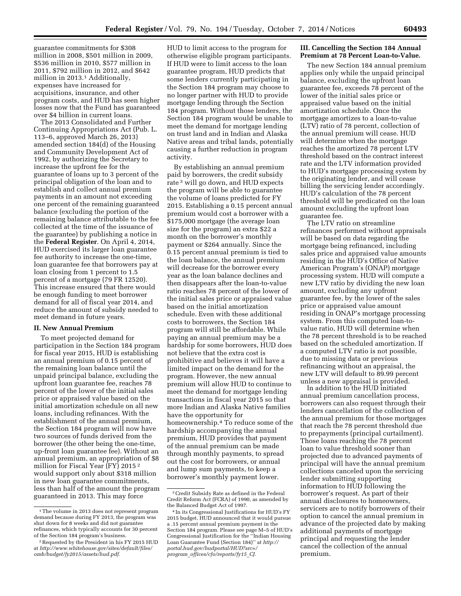guarantee commitments for \$308 million in 2008, \$501 million in 2009, \$536 million in 2010, \$577 million in 2011, \$792 million in 2012, and \$642 million in 2013.1 Additionally, expenses have increased for acquisitions, insurance, and other program costs, and HUD has seen higher losses now that the Fund has guaranteed over \$4 billion in current loans.

The 2013 Consolidated and Further Continuing Appropriations Act (Pub. L. 113–6, approved March 26, 2013) amended section 184(d) of the Housing and Community Development Act of 1992, by authorizing the Secretary to increase the upfront fee for the guarantee of loans up to 3 percent of the principal obligation of the loan and to establish and collect annual premium payments in an amount not exceeding one percent of the remaining guaranteed balance (excluding the portion of the remaining balance attributable to the fee collected at the time of the issuance of the guarantee) by publishing a notice in the **Federal Register**. On April 4, 2014, HUD exercised its larger loan guarantee fee authority to increase the one-time, loan guarantee fee that borrowers pay at loan closing from 1 percent to 1.5 percent of a mortgage (79 FR 12520). This increase ensured that there would be enough funding to meet borrower demand for all of fiscal year 2014, and reduce the amount of subsidy needed to meet demand in future years.

# **II. New Annual Premium**

To meet projected demand for participation in the Section 184 program for fiscal year 2015, HUD is establishing an annual premium of 0.15 percent of the remaining loan balance until the unpaid principal balance, excluding the upfront loan guarantee fee, reaches 78 percent of the lower of the initial sales price or appraised value based on the initial amortization schedule on all new loans, including refinances. With the establishment of the annual premium, the Section 184 program will now have two sources of funds derived from the borrower (the other being the one-time, up-front loan guarantee fee). Without an annual premium, an appropriation of \$8 million for Fiscal Year (FY) 2015 2 would support only about \$318 million in new loan guarantee commitments, less than half of the amount the program guaranteed in 2013. This may force

HUD to limit access to the program for otherwise eligible program participants. If HUD were to limit access to the loan guarantee program, HUD predicts that some lenders currently participating in the Section 184 program may choose to no longer partner with HUD to provide mortgage lending through the Section 184 program. Without those lenders, the Section 184 program would be unable to meet the demand for mortgage lending on trust land and in Indian and Alaska Native areas and tribal lands, potentially causing a further reduction in program activity.

By establishing an annual premium paid by borrowers, the credit subsidy rate 3 will go down, and HUD expects the program will be able to guarantee the volume of loans predicted for FY 2015. Establishing a 0.15 percent annual premium would cost a borrower with a \$175,000 mortgage (the average loan size for the program) an extra \$22 a month on the borrower's monthly payment or \$264 annually. Since the 0.15 percent annual premium is tied to the loan balance, the annual premium will decrease for the borrower every year as the loan balance declines and then disappears after the loan-to-value ratio reaches 78 percent of the lower of the initial sales price or appraised value based on the initial amortization schedule. Even with these additional costs to borrowers, the Section 184 program will still be affordable. While paying an annual premium may be a hardship for some borrowers, HUD does not believe that the extra cost is prohibitive and believes it will have a limited impact on the demand for the program. However, the new annual premium will allow HUD to continue to meet the demand for mortgage lending transactions in fiscal year 2015 so that more Indian and Alaska Native families have the opportunity for homeownership.4 To reduce some of the hardship accompanying the annual premium, HUD provides that payment of the annual premium can be made through monthly payments, to spread out the cost for borrowers, or annual and lump sum payments, to keep a borrower's monthly payment lower.

## **III. Cancelling the Section 184 Annual Premium at 78 Percent Loan-to-Value.**

The new Section 184 annual premium applies only while the unpaid principal balance, excluding the upfront loan guarantee fee, exceeds 78 percent of the lower of the initial sales price or appraised value based on the initial amortization schedule. Once the mortgage amortizes to a loan-to-value (LTV) ratio of 78 percent, collection of the annual premium will cease. HUD will determine when the mortgage reaches the amortized 78 percent LTV threshold based on the contract interest rate and the LTV information provided to HUD's mortgage processing system by the originating lender, and will cease billing the servicing lender accordingly. HUD's calculation of the 78 percent threshold will be predicated on the loan amount excluding the upfront loan guarantee fee.

The LTV ratio on streamline refinances performed without appraisals will be based on data regarding the mortgage being refinanced, including sales price and appraised value amounts residing in the HUD's Office of Native American Program's (ONAP) mortgage processing system. HUD will compute a new LTV ratio by dividing the new loan amount, excluding any upfront guarantee fee, by the lower of the sales price or appraised value amount residing in ONAP's mortgage processing system. From this computed loan-tovalue ratio, HUD will determine when the 78 percent threshold is to be reached based on the scheduled amortization. If a computed LTV ratio is not possible, due to missing data or previous refinancing without an appraisal, the new LTV will default to 89.99 percent unless a new appraisal is provided.

In addition to the HUD initiated annual premium cancellation process, borrowers can also request through their lenders cancellation of the collection of the annual premium for those mortgages that reach the 78 percent threshold due to prepayments (principal curtailment). Those loans reaching the 78 percent loan to value threshold sooner than projected due to advanced payments of principal will have the annual premium collections canceled upon the servicing lender submitting supporting information to HUD following the borrower's request. As part of their annual disclosures to homeowners, servicers are to notify borrowers of their option to cancel the annual premium in advance of the projected date by making additional payments of mortgage principal and requesting the lender cancel the collection of the annual premium.

<sup>1</sup>The volume in 2013 does not represent program demand because during FY 2013, the program was shut down for 8 weeks and did not guarantee refinances, which typically accounts for 30 percent of the Section 184 program's business.

<sup>2</sup>Requested by the President in his FY 2015 HUD at *[http://www.whitehouse.gov/sites/default/files/](http://www.whitehouse.gov/sites/default/files/omb/budget/fy2015/assets/hud.pdf) [omb/budget/fy2015/assets/hud.pdf.](http://www.whitehouse.gov/sites/default/files/omb/budget/fy2015/assets/hud.pdf)* 

<sup>3</sup>Credit Subsidy Rate as defined in the Federal Credit Reform Act (FCRA) of 1990, as amended by the Balanced Budget Act of 1997.

<sup>4</sup> In its Congressional Justifications for HUD's FY 2015 budget, HUD announced that it would pursue a .15 percent annual premium payment in the Section 184 program. Please see page M–5 of HUD's Congressional Justification for the ''Indian Housing Loan Guarantee Fund (Section 184)'' at *[http://](http://portal.hud.gov/hudportal/HUD?src=/program_offices/cfo/reports/fy15_CJ) [portal.hud.gov/hudportal/HUD?src=/](http://portal.hud.gov/hudportal/HUD?src=/program_offices/cfo/reports/fy15_CJ) program*\_*[offices/cfo/reports/fy15](http://portal.hud.gov/hudportal/HUD?src=/program_offices/cfo/reports/fy15_CJ)*\_*CJ.*